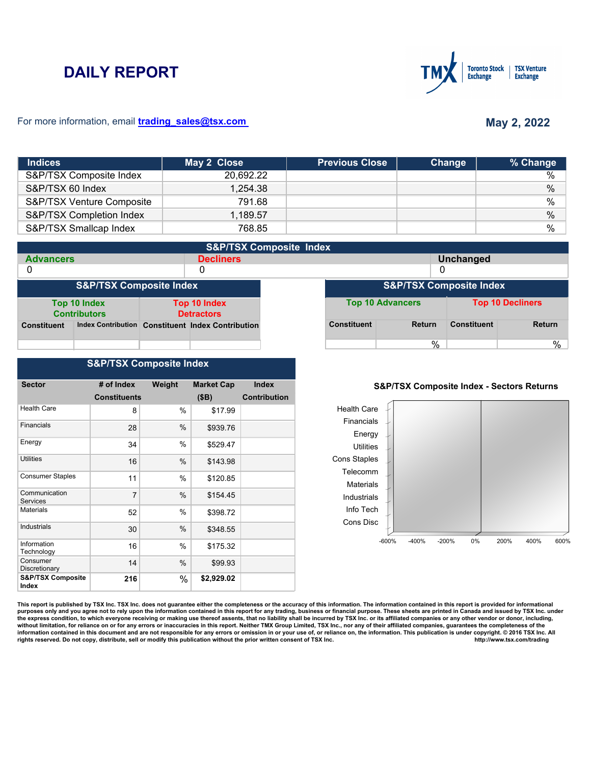# **DAILY REPORT**



#### For more information, email **trading\_sales@tsx.com**

# **May 2, 2022**

| <b>Indices</b>            | May 2 Close | <b>Previous Close</b> | Change | % Change      |
|---------------------------|-------------|-----------------------|--------|---------------|
| S&P/TSX Composite Index   | 20,692.22   |                       |        | %             |
| S&P/TSX 60 Index          | 1,254.38    |                       |        | $\frac{0}{0}$ |
| S&P/TSX Venture Composite | 791.68      |                       |        | $\frac{0}{0}$ |
| S&P/TSX Completion Index  | 1,189.57    |                       |        | $\%$          |
| S&P/TSX Smallcap Index    | 768.85      |                       |        | %             |

|                    | <b>S&amp;P/TSX Composite Index</b>  |  |                                                   |  |                    |                                    |                    |                         |
|--------------------|-------------------------------------|--|---------------------------------------------------|--|--------------------|------------------------------------|--------------------|-------------------------|
| <b>Advancers</b>   |                                     |  | <b>Decliners</b>                                  |  |                    |                                    | <b>Unchanged</b>   |                         |
| 0                  |                                     |  | 0                                                 |  |                    |                                    |                    |                         |
|                    | <b>S&amp;P/TSX Composite Index</b>  |  |                                                   |  |                    | <b>S&amp;P/TSX Composite Index</b> |                    |                         |
|                    | Top 10 Index<br><b>Contributors</b> |  | <b>Top 10 Index</b><br><b>Detractors</b>          |  |                    | <b>Top 10 Advancers</b>            |                    | <b>Top 10 Decliners</b> |
| <b>Constituent</b> |                                     |  | Index Contribution Constituent Index Contribution |  | <b>Constituent</b> | <b>Return</b>                      | <b>Constituent</b> | <b>Return</b>           |
|                    |                                     |  |                                                   |  |                    | %                                  |                    | %                       |

### **S&P/TSX Composite Index**

| <b>Sector</b>                         | # of Index          | Weight | <b>Market Cap</b> | <b>Index</b>        |
|---------------------------------------|---------------------|--------|-------------------|---------------------|
|                                       | <b>Constituents</b> |        | (SB)              | <b>Contribution</b> |
| <b>Health Care</b>                    | 8                   | %      | \$17.99           |                     |
| Financials                            | 28                  | $\%$   | \$939.76          |                     |
| Energy                                | 34                  | %      | \$529.47          |                     |
| <b>Utilities</b>                      | 16                  | $\%$   | \$143.98          |                     |
| <b>Consumer Staples</b>               | 11                  | %      | \$120.85          |                     |
| Communication<br>Services             | 7                   | %      | \$154.45          |                     |
| <b>Materials</b>                      | 52                  | %      | \$398.72          |                     |
| Industrials                           | 30                  | $\%$   | \$348.55          |                     |
| Information<br>Technology             | 16                  | %      | \$175.32          |                     |
| Consumer<br>Discretionary             | 14                  | %      | \$99.93           |                     |
| <b>S&amp;P/TSX Composite</b><br>Index | 216                 | %      | \$2,929.02        |                     |

#### **S&P/TSX Composite Index - Sectors Returns**



This report is published by TSX Inc. TSX Inc. does not guarantee either the completeness or the accuracy of this information. The information contained in this report is provided for informational **purposes only and you agree not to rely upon the information contained in this report for any trading, business or financial purpose. These sheets are printed in Canada and issued by TSX Inc. under**  the express condition, to which everyone receiving or making use thereof assents, that no liability shall be incurred by TSX Inc. or its affiliated companies or any other vendor or donor, including,<br>without limitation, for information contained in this document and are not responsible for any errors or omission in or your use of, or reliance on, the information. This publication is under copyright. © 2016 TSX Inc. All <br>
rights reserved. Do n rights reserved. Do not copy, distribute, sell or modify this publication without the prior written consent of TSX Inc.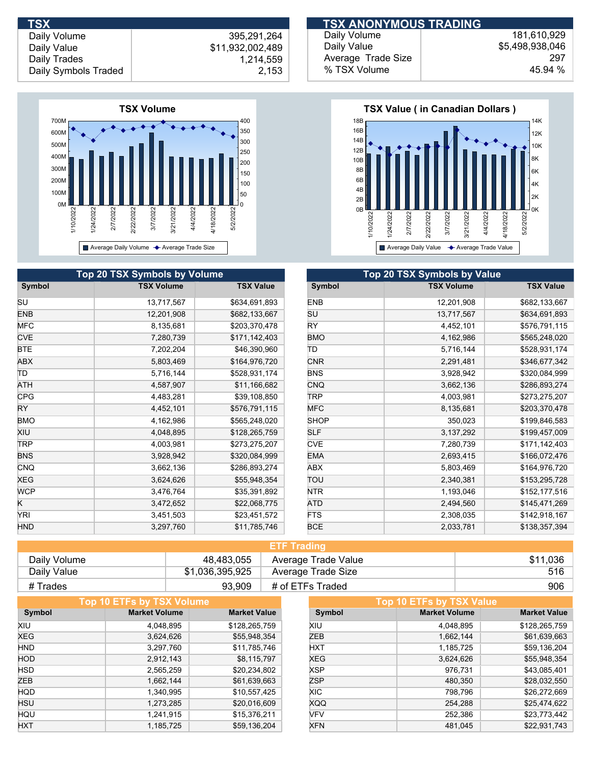

| TSX                  |                  | <b>TSX ANONYMOUS TRADING</b> |                 |
|----------------------|------------------|------------------------------|-----------------|
| Daily Volume         | 395,291,264      | Daily Volume                 | 181.610.929     |
| Daily Value          | \$11,932,002,489 | Daily Value                  | \$5,498,938,046 |
| Daily Trades         | 1,214,559        | Average Trade Size           | 297             |
| Daily Symbols Traded | 2,153            | % TSX Volume                 | 45.94 %         |
|                      |                  |                              |                 |



| Top 20 TSX Symbols by Volume |                   |                  | <b>Top 20 TSX Symbols by Value</b> |                   |                  |  |  |
|------------------------------|-------------------|------------------|------------------------------------|-------------------|------------------|--|--|
| Symbol                       | <b>TSX Volume</b> | <b>TSX Value</b> | Symbol                             | <b>TSX Volume</b> | <b>TSX Value</b> |  |  |
| SU                           | 13,717,567        | \$634,691,893    | <b>ENB</b>                         | 12,201,908        | \$682,133,667    |  |  |
| ENB                          | 12,201,908        | \$682,133,667    | SU                                 | 13,717,567        | \$634,691,893    |  |  |
| MFC                          | 8,135,681         | \$203,370,478    | <b>RY</b>                          | 4,452,101         | \$576,791,115    |  |  |
| <b>CVE</b>                   | 7,280,739         | \$171,142,403    | <b>BMO</b>                         | 4,162,986         | \$565,248,020    |  |  |
| BTE                          | 7,202,204         | \$46,390,960     | ΙD                                 | 5,716,144         | \$528,931,174    |  |  |
| ABX                          | 5,803,469         | \$164,976,720    | <b>CNR</b>                         | 2,291,481         | \$346,677,342    |  |  |
| ΤD                           | 5,716,144         | \$528,931,174    | <b>BNS</b>                         | 3,928,942         | \$320,084,999    |  |  |
| ATH                          | 4,587,907         | \$11,166,682     | <b>CNQ</b>                         | 3,662,136         | \$286,893,274    |  |  |
| <b>CPG</b>                   | 4,483,281         | \$39,108,850     | <b>TRP</b>                         | 4,003,981         | \$273,275,207    |  |  |
| RY                           | 4,452,101         | \$576,791,115    | MFC.                               | 8,135,681         | \$203,370,478    |  |  |
| BMO                          | 4,162,986         | \$565,248,020    | <b>SHOP</b>                        | 350,023           | \$199,846,583    |  |  |
| XIU                          | 4,048,895         | \$128,265,759    | <b>SLF</b>                         | 3,137,292         | \$199,457,009    |  |  |
| <b>TRP</b>                   | 4,003,981         | \$273,275,207    | <b>CVE</b>                         | 7,280,739         | \$171,142,403    |  |  |
| <b>BNS</b>                   | 3,928,942         | \$320,084,999    | <b>EMA</b>                         | 2,693,415         | \$166,072,476    |  |  |
| CNQ                          | 3,662,136         | \$286,893,274    | ABX                                | 5,803,469         | \$164,976,720    |  |  |
| XEG                          | 3,624,626         | \$55,948,354     | TOU                                | 2,340,381         | \$153,295,728    |  |  |
| <b>WCP</b>                   | 3,476,764         | \$35,391,892     | <b>NTR</b>                         | 1,193,046         | \$152,177,516    |  |  |
| $\overline{\mathsf{K}}$      | 3,472,652         | \$22,068,775     | ATD                                | 2,494,560         | \$145,471,269    |  |  |
| YRI                          | 3,451,503         | \$23,451,572     | <b>FTS</b>                         | 2,308,035         | \$142,918,167    |  |  |
| HND.                         | 3,297,760         | \$11,785,746     | <b>BCE</b>                         | 2,033,781         | \$138,357,394    |  |  |

| <b>ETF Trading</b> |                 |                     |          |  |
|--------------------|-----------------|---------------------|----------|--|
| Daily Volume       | 48,483,055      | Average Trade Value | \$11,036 |  |
| Daily Value        | \$1,036,395,925 | Average Trade Size  | 516      |  |
| # Trades           | 93,909          | # of ETFs Traded    | 906      |  |

|            | <b>Top 10 ETFs by TSX Volume</b> |                     |            | Top 10 ETFs by TSX Value |                     |
|------------|----------------------------------|---------------------|------------|--------------------------|---------------------|
| Symbol     | <b>Market Volume</b>             | <b>Market Value</b> | Symbol     | <b>Market Volume</b>     | <b>Market Value</b> |
| XIU        | 4,048,895                        | \$128,265,759       | XIU        | 4,048,895                | \$128,265,759       |
| <b>XEG</b> | 3,624,626                        | \$55,948,354        | ZEB        | 1,662,144                | \$61,639,663        |
| <b>HND</b> | 3,297,760                        | \$11,785,746        | <b>HXT</b> | 1,185,725                | \$59,136,204        |
| <b>HOD</b> | 2,912,143                        | \$8,115,797         | <b>XEG</b> | 3,624,626                | \$55,948,354        |
| <b>HSD</b> | 2,565,259                        | \$20,234,802        | XSP        | 976,731                  | \$43,085,401        |
| <b>ZEB</b> | 1,662,144                        | \$61,639,663        | <b>ZSP</b> | 480,350                  | \$28,032,550        |
| <b>HQD</b> | 1,340,995                        | \$10,557,425        | XIC.       | 798,796                  | \$26,272,669        |
| <b>HSU</b> | 1,273,285                        | \$20,016,609        | <b>XQQ</b> | 254,288                  | \$25,474,622        |
| HQU        | 1,241,915                        | \$15,376,211        | <b>VFV</b> | 252,386                  | \$23,773,442        |
| <b>HXT</b> | 1,185,725                        | \$59,136,204        | <b>XFN</b> | 481.045                  | \$22.931.743        |